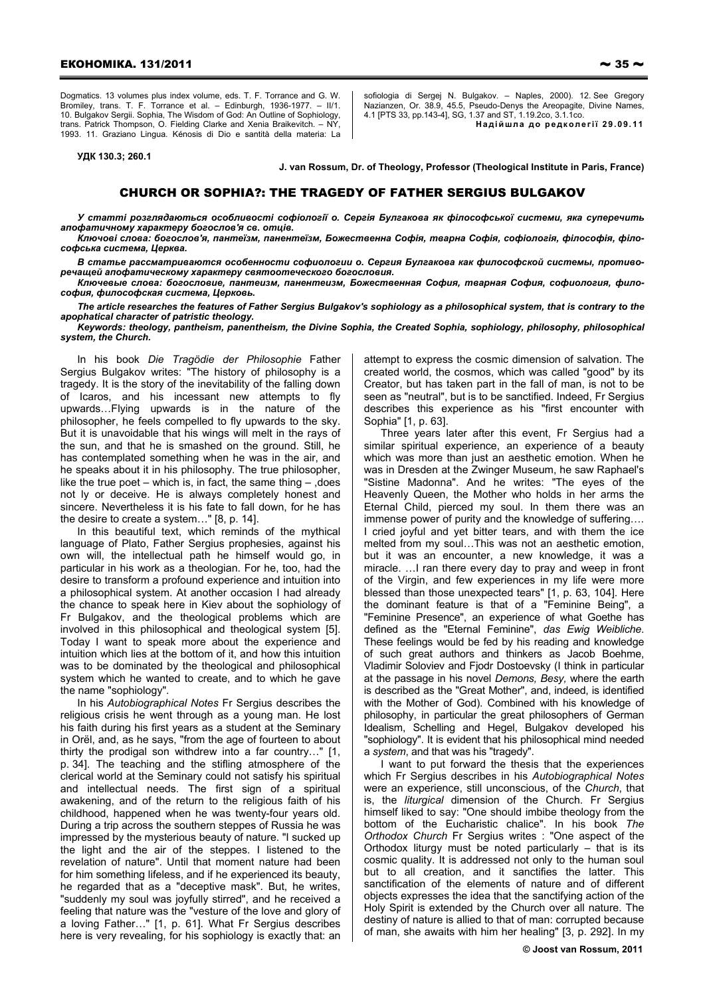Dogmatics. 13 volumes plus index volume, eds. T. F. Torrance and G. W. Bromiley, trans. T. F. Torrance et al. – Edinburgh, 1936-1977. – II/1. 10. Bulgakov Sergii. Sophia, The Wisdom of God: An Outline of Sophiology, trans. Patrick Thompson, O. Fielding Clarke and Xenia Braikevitch. – NY, 1993. 11. Graziano Lingua. Kénosis di Dio e santità della materia: La

**УДК 130.3; 260.1** 

sofiologia di Sergej N. Bulgakov. – Naples, 2000). 12. See Gregory Nazianzen, Or. 38.9, 45.5, Pseudo-Denys the Areopagite, Divine Names, 4.1 [PTS 33, pp.143-4], SG, 1.37 and ST, 1.19.2co, 3.1.1co.

Надійшла до редколегії 29.09.11

**J. van Rossum, Dr. of Theology, Professor (Theological Institute in Paris, France)** 

## CHURCH OR SOPHIA?: THE TRAGEDY OF FATHER SERGIUS BULGAKOV

*У статті розглядаються особливості софіології о. Сергія Булгакова як філософської системи, яка суперечить апофатичному характеру богослов'я св. отців.* 

Ключові слова: богослов'я, пантеїзм, панентеїзм, Божественна Софія, тварна Софія, софіологія, філософія, філо*софська система, Церква.* 

*В статье рассматриваются особенности софиологии о. Сергия Булгакова как философской системы, противоречащей апофатическому характеру святоотеческого богословия.* 

Ключевые слова: богословие, пантеизм, панентеизм, Божественная София, тварная София, софиология, фило*софия, философская система, Церковь.* 

*The article researches the features of Father Sergius Bulgakov's sophiology as a philosophical system, that is contrary to the apophatical character of patristic theology.* 

*Keywords: theology, pantheism, panentheism, the Divine Sophia, the Created Sophia, sophiology, philosophy, philosophical system, the Church.* 

In his book *Die Tragödie der Philosophie* Father Sergius Bulgakov writes: "The history of philosophy is a tragedy. It is the story of the inevitability of the falling down of Icaros, and his incessant new attempts to fly upwards…Flying upwards is in the nature of the philosopher, he feels compelled to fly upwards to the sky. But it is unavoidable that his wings will melt in the rays of the sun, and that he is smashed on the ground. Still, he has contemplated something when he was in the air, and he speaks about it in his philosophy. The true philosopher, like the true poet – which is, in fact, the same thing  $-$ , does not ly or deceive. He is always completely honest and sincere. Nevertheless it is his fate to fall down, for he has the desire to create a system…" [8, p. 14].

In this beautiful text, which reminds of the mythical language of Plato, Father Sergius prophesies, against his own will, the intellectual path he himself would go, in particular in his work as a theologian. For he, too, had the desire to transform a profound experience and intuition into a philosophical system. At another occasion I had already the chance to speak here in Kiev about the sophiology of Fr Bulgakov, and the theological problems which are involved in this philosophical and theological system [5]. Today I want to speak more about the experience and intuition which lies at the bottom of it, and how this intuition was to be dominated by the theological and philosophical system which he wanted to create, and to which he gave the name "sophiology".

In his *Autobiographical Notes* Fr Sergius describes the religious crisis he went through as a young man. He lost his faith during his first years as a student at the Seminary in Orël, and, as he says, "from the age of fourteen to about thirty the prodigal son withdrew into a far country…" [1, p. 34]. The teaching and the stifling atmosphere of the clerical world at the Seminary could not satisfy his spiritual and intellectual needs. The first sign of a spiritual awakening, and of the return to the religious faith of his childhood, happened when he was twenty-four years old. During a trip across the southern steppes of Russia he was impressed by the mysterious beauty of nature. "I sucked up the light and the air of the steppes. I listened to the revelation of nature". Until that moment nature had been for him something lifeless, and if he experienced its beauty, he regarded that as a "deceptive mask". But, he writes, "suddenly my soul was joyfully stirred", and he received a feeling that nature was the "vesture of the love and glory of a loving Father…" [1, p. 61]. What Fr Sergius describes here is very revealing, for his sophiology is exactly that: an attempt to express the cosmic dimension of salvation. The created world, the cosmos, which was called "good" by its Creator, but has taken part in the fall of man, is not to be seen as "neutral", but is to be sanctified. Indeed, Fr Sergius describes this experience as his "first encounter with Sophia" [1, p. 63].

Three years later after this event, Fr Sergius had a similar spiritual experience, an experience of a beauty which was more than just an aesthetic emotion. When he was in Dresden at the Zwinger Museum, he saw Raphael's "Sistine Madonna". And he writes: "The eyes of the Heavenly Queen, the Mother who holds in her arms the Eternal Child, pierced my soul. In them there was an immense power of purity and the knowledge of suffering…. I cried joyful and yet bitter tears, and with them the ice melted from my soul…This was not an aesthetic emotion, but it was an encounter, a new knowledge, it was a miracle. …I ran there every day to pray and weep in front of the Virgin, and few experiences in my life were more blessed than those unexpected tears" [1, p. 63, 104]. Here the dominant feature is that of a "Feminine Being", a "Feminine Presence", an experience of what Goethe has defined as the "Eternal Feminine", *das Ewig Weibliche*. These feelings would be fed by his reading and knowledge of such great authors and thinkers as Jacob Boehme, Vladimir Soloviev and Fjodr Dostoevsky (I think in particular at the passage in his novel *Demons, Besy,* where the earth is described as the "Great Mother", and, indeed, is identified with the Mother of God). Combined with his knowledge of philosophy, in particular the great philosophers of German Idealism, Schelling and Hegel, Bulgakov developed his "sophiology". It is evident that his philosophical mind needed a *system*, and that was his "tragedy".

I want to put forward the thesis that the experiences which Fr Sergius describes in his *Autobiographical Notes* were an experience, still unconscious, of the *Church*, that is, the *liturgical* dimension of the Church. Fr Sergius himself liked to say: "One should imbibe theology from the bottom of the Eucharistic chalice". In his book *The Orthodox Church* Fr Sergius writes : "One aspect of the Orthodox liturgy must be noted particularly – that is its cosmic quality. It is addressed not only to the human soul but to all creation, and it sanctifies the latter. This sanctification of the elements of nature and of different objects expresses the idea that the sanctifying action of the Holy Spirit is extended by the Church over all nature. The destiny of nature is allied to that of man: corrupted because of man, she awaits with him her healing" [3, p. 292]. In my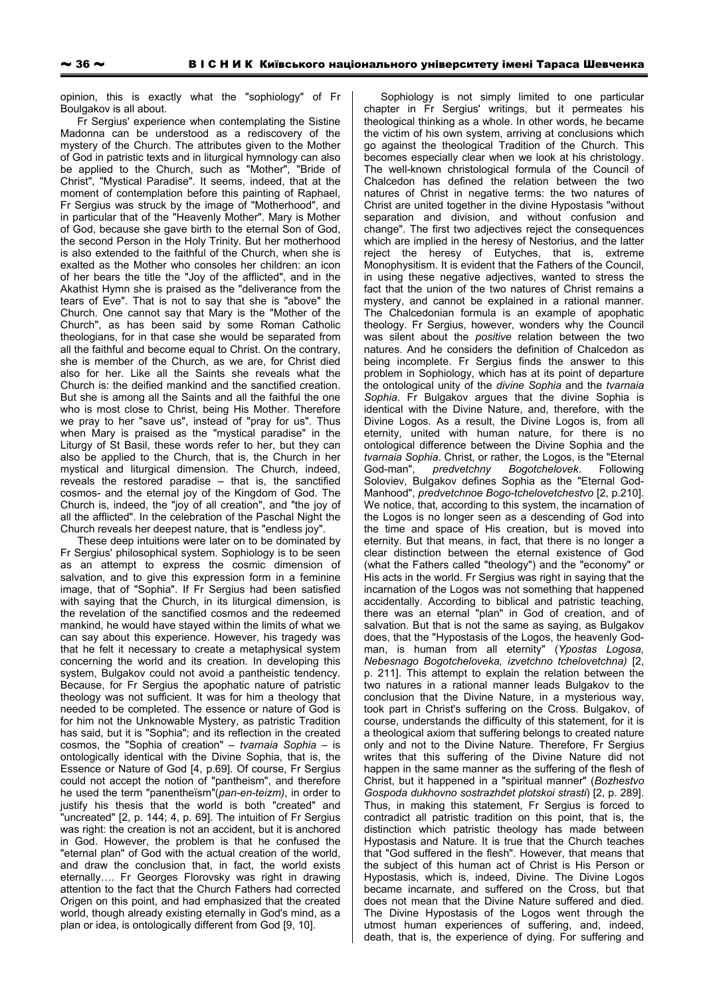opinion, this is exactly what the "sophiology" of Fr Boulgakov is all about.

Fr Sergius' experience when contemplating the Sistine Madonna can be understood as a rediscovery of the mystery of the Church. The attributes given to the Mother of God in patristic texts and in liturgical hymnology can also be applied to the Church, such as "Mother", "Bride of Christ", "Mystical Paradise". It seems, indeed, that at the moment of contemplation before this painting of Raphael, Fr Sergius was struck by the image of "Motherhood", and in particular that of the "Heavenly Mother". Mary is Mother of God, because she gave birth to the eternal Son of God, the second Person in the Holy Trinity. But her motherhood is also extended to the faithful of the Church, when she is exalted as the Mother who consoles her children: an icon of her bears the title the "Joy of the afflicted", and in the Akathist Hymn she is praised as the "deliverance from the tears of Eve". That is not to say that she is "above" the Church. One cannot say that Mary is the "Mother of the Church", as has been said by some Roman Catholic theologians, for in that case she would be separated from all the faithful and become equal to Christ. On the contrary, she is member of the Church, as we are, for Christ died also for her. Like all the Saints she reveals what the Church is: the deified mankind and the sanctified creation. But she is among all the Saints and all the faithful the one who is most close to Christ, being His Mother. Therefore we pray to her "save us", instead of "pray for us". Thus when Mary is praised as the "mystical paradise" in the Liturgy of St Basil, these words refer to her, but they can also be applied to the Church, that is, the Church in her mystical and liturgical dimension. The Church, indeed, reveals the restored paradise – that is, the sanctified cosmos- and the eternal joy of the Kingdom of God. The Church is, indeed, the "joy of all creation", and "the joy of all the afflicted". In the celebration of the Paschal Night the Church reveals her deepest nature, that is "endless joy".

These deep intuitions were later on to be dominated by Fr Sergius' philosophical system. Sophiology is to be seen as an attempt to express the cosmic dimension of salvation, and to give this expression form in a feminine image, that of "Sophia". If Fr Sergius had been satisfied with saying that the Church, in its liturgical dimension, is the revelation of the sanctified cosmos and the redeemed mankind, he would have stayed within the limits of what we can say about this experience. However, his tragedy was that he felt it necessary to create a metaphysical system concerning the world and its creation. In developing this system, Bulgakov could not avoid a pantheistic tendency. Because, for Fr Sergius the apophatic nature of patristic theology was not sufficient. It was for him a theology that needed to be completed. The essence or nature of God is for him not the Unknowable Mystery, as patristic Tradition has said, but it is "Sophia"; and its reflection in the created cosmos, the "Sophia of creation" – *tvarnaia Sophia* – is ontologically identical with the Divine Sophia, that is, the Essence or Nature of God [4, p.69]. Of course, Fr Sergius could not accept the notion of "pantheism", and therefore he used the term "panentheïsm"(*pan-en-teizm)*, in order to justify his thesis that the world is both "created" and "uncreated" [2, p. 144; 4, p. 69]. The intuition of Fr Sergius was right: the creation is not an accident, but it is anchored in God. However, the problem is that he confused the "eternal plan" of God with the actual creation of the world, and draw the conclusion that, in fact, the world exists eternally…. Fr Georges Florovsky was right in drawing attention to the fact that the Church Fathers had corrected Origen on this point, and had emphasized that the created world, though already existing eternally in God's mind, as a plan or idea, is ontologically different from God [9, 10].

Sophiology is not simply limited to one particular chapter in Fr Sergius' writings, but it permeates his theological thinking as a whole. In other words, he became the victim of his own system, arriving at conclusions which go against the theological Tradition of the Church. This becomes especially clear when we look at his christology. The well-known christological formula of the Council of Chalcedon has defined the relation between the two natures of Christ in negative terms: the two natures of Christ are united together in the divine Hypostasis "without separation and division, and without confusion and change". The first two adjectives reject the consequences which are implied in the heresy of Nestorius, and the latter reject the heresy of Eutyches, that is, extreme Monophysitism. It is evident that the Fathers of the Council, in using these negative adjectives, wanted to stress the fact that the union of the two natures of Christ remains a mystery, and cannot be explained in a rational manner. The Chalcedonian formula is an example of apophatic theology. Fr Sergius, however, wonders why the Council was silent about the *positive* relation between the two natures. And he considers the definition of Chalcedon as being incomplete. Fr Sergius finds the answer to this problem in Sophiology, which has at its point of departure the ontological unity of the *divine Sophia* and the *tvarnaia Sophia*. Fr Bulgakov argues that the divine Sophia is identical with the Divine Nature, and, therefore, with the Divine Logos. As a result, the Divine Logos is, from all eternity, united with human nature, for there is no ontological difference between the Divine Sophia and the *tvarnaia Sophia*. Christ, or rather, the Logos, is the "Eternal God-man", *predvetchny Bogotchelovek*. Following Soloviev, Bulgakov defines Sophia as the "Eternal God-Manhood", *predvetchnoe Bogo-tchelovetchestvo* [2, p.210]. We notice, that, according to this system, the incarnation of the Logos is no longer seen as a descending of God into the time and space of His creation, but is moved into eternity. But that means, in fact, that there is no longer a clear distinction between the eternal existence of God (what the Fathers called "theology") and the "economy" or His acts in the world. Fr Sergius was right in saying that the incarnation of the Logos was not something that happened accidentally. According to biblical and patristic teaching, there was an eternal "plan" in God of creation, and of salvation. But that is not the same as saying, as Bulgakov does, that the "Hypostasis of the Logos, the heavenly Godman, is human from all eternity" (*Ypostas Logosa, Nebesnago Bogotcheloveka, izvetchno tchelovetchna)* [2, p. 211]. This attempt to explain the relation between the two natures in a rational manner leads Bulgakov to the conclusion that the Divine Nature, in a mysterious way, took part in Christ's suffering on the Cross. Bulgakov, of course, understands the difficulty of this statement, for it is a theological axiom that suffering belongs to created nature only and not to the Divine Nature. Therefore, Fr Sergius writes that this suffering of the Divine Nature did not happen in the same manner as the suffering of the flesh of Christ, but it happened in a "spiritual manner" (*Bozhestvo Gospoda dukhovno sostrazhdet plotskoi strasti*) [2, p. 289]. Thus, in making this statement, Fr Sergius is forced to contradict all patristic tradition on this point, that is, the distinction which patristic theology has made between Hypostasis and Nature. It is true that the Church teaches that "God suffered in the flesh". However, that means that the subject of this human act of Christ is His Person or Hypostasis, which is, indeed, Divine. The Divine Logos became incarnate, and suffered on the Cross, but that does not mean that the Divine Nature suffered and died. The Divine Hypostasis of the Logos went through the utmost human experiences of suffering, and, indeed, death, that is, the experience of dying. For suffering and